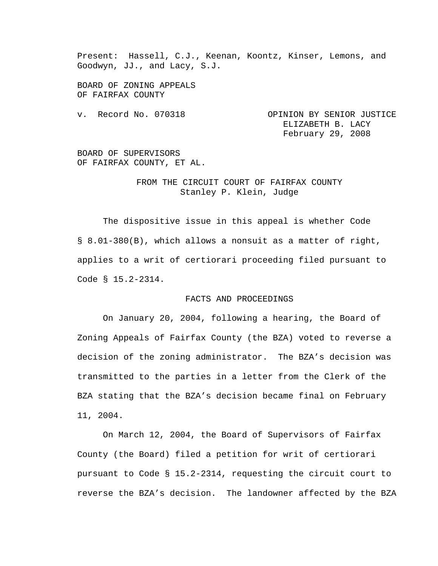Present: Hassell, C.J., Keenan, Koontz, Kinser, Lemons, and Goodwyn, JJ., and Lacy, S.J.

BOARD OF ZONING APPEALS OF FAIRFAX COUNTY

v. Record No. 070318 OPINION BY SENIOR JUSTICE ELIZABETH B. LACY February 29, 2008

BOARD OF SUPERVISORS OF FAIRFAX COUNTY, ET AL.

## FROM THE CIRCUIT COURT OF FAIRFAX COUNTY Stanley P. Klein, Judge

 The dispositive issue in this appeal is whether Code § 8.01-380(B), which allows a nonsuit as a matter of right, applies to a writ of certiorari proceeding filed pursuant to Code § 15.2-2314.

## FACTS AND PROCEEDINGS

 On January 20, 2004, following a hearing, the Board of Zoning Appeals of Fairfax County (the BZA) voted to reverse a decision of the zoning administrator. The BZA's decision was transmitted to the parties in a letter from the Clerk of the BZA stating that the BZA's decision became final on February 11, 2004.

On March 12, 2004, the Board of Supervisors of Fairfax County (the Board) filed a petition for writ of certiorari pursuant to Code § 15.2-2314, requesting the circuit court to reverse the BZA's decision. The landowner affected by the BZA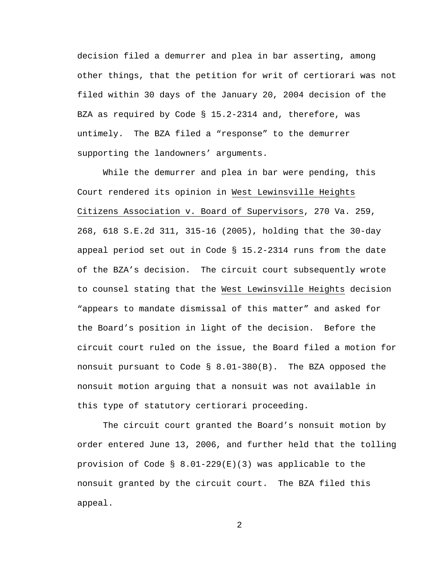decision filed a demurrer and plea in bar asserting, among other things, that the petition for writ of certiorari was not filed within 30 days of the January 20, 2004 decision of the BZA as required by Code § 15.2-2314 and, therefore, was untimely. The BZA filed a "response" to the demurrer supporting the landowners' arguments.

While the demurrer and plea in bar were pending, this Court rendered its opinion in West Lewinsville Heights Citizens Association v. Board of Supervisors, 270 Va. 259, 268, 618 S.E.2d 311, 315-16 (2005), holding that the 30-day appeal period set out in Code § 15.2-2314 runs from the date of the BZA's decision. The circuit court subsequently wrote to counsel stating that the West Lewinsville Heights decision "appears to mandate dismissal of this matter" and asked for the Board's position in light of the decision. Before the circuit court ruled on the issue, the Board filed a motion for nonsuit pursuant to Code § 8.01-380(B). The BZA opposed the nonsuit motion arguing that a nonsuit was not available in this type of statutory certiorari proceeding.

The circuit court granted the Board's nonsuit motion by order entered June 13, 2006, and further held that the tolling provision of Code §  $8.01-229(E)(3)$  was applicable to the nonsuit granted by the circuit court. The BZA filed this appeal.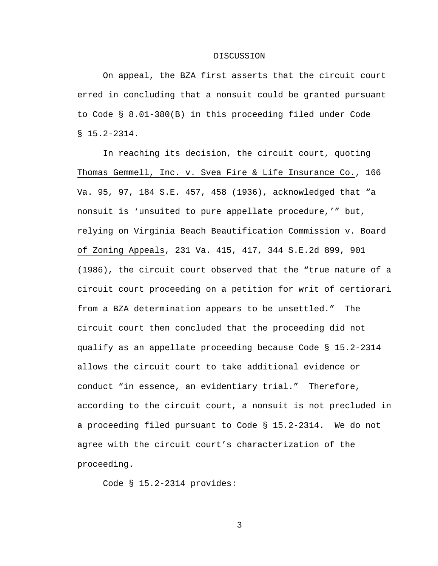## DISCUSSION

On appeal, the BZA first asserts that the circuit court erred in concluding that a nonsuit could be granted pursuant to Code § 8.01-380(B) in this proceeding filed under Code § 15.2-2314.

In reaching its decision, the circuit court, quoting Thomas Gemmell, Inc. v. Svea Fire & Life Insurance Co., 166 Va. 95, 97, 184 S.E. 457, 458 (1936), acknowledged that "a nonsuit is 'unsuited to pure appellate procedure,'" but, relying on Virginia Beach Beautification Commission v. Board of Zoning Appeals, 231 Va. 415, 417, 344 S.E.2d 899, 901 (1986), the circuit court observed that the "true nature of a circuit court proceeding on a petition for writ of certiorari from a BZA determination appears to be unsettled." The circuit court then concluded that the proceeding did not qualify as an appellate proceeding because Code § 15.2-2314 allows the circuit court to take additional evidence or conduct "in essence, an evidentiary trial." Therefore, according to the circuit court, a nonsuit is not precluded in a proceeding filed pursuant to Code § 15.2-2314. We do not agree with the circuit court's characterization of the proceeding.

Code § 15.2-2314 provides: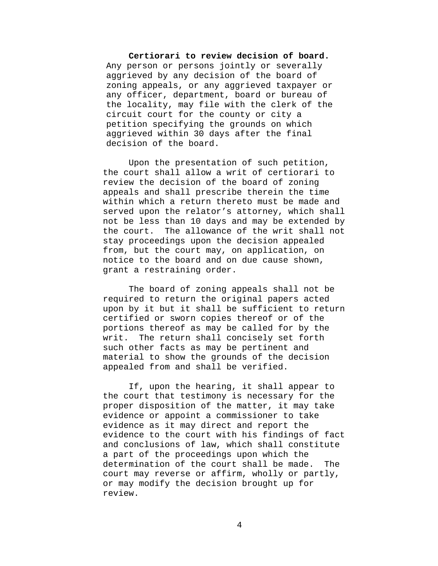## **Certiorari to review decision of board.**  Any person or persons jointly or severally aggrieved by any decision of the board of zoning appeals, or any aggrieved taxpayer or any officer, department, board or bureau of the locality, may file with the clerk of the circuit court for the county or city a petition specifying the grounds on which aggrieved within 30 days after the final decision of the board.

Upon the presentation of such petition, the court shall allow a writ of certiorari to review the decision of the board of zoning appeals and shall prescribe therein the time within which a return thereto must be made and served upon the relator's attorney, which shall not be less than 10 days and may be extended by the court. The allowance of the writ shall not stay proceedings upon the decision appealed from, but the court may, on application, on notice to the board and on due cause shown, grant a restraining order.

The board of zoning appeals shall not be required to return the original papers acted upon by it but it shall be sufficient to return certified or sworn copies thereof or of the portions thereof as may be called for by the writ. The return shall concisely set forth such other facts as may be pertinent and material to show the grounds of the decision appealed from and shall be verified.

If, upon the hearing, it shall appear to the court that testimony is necessary for the proper disposition of the matter, it may take evidence or appoint a commissioner to take evidence as it may direct and report the evidence to the court with his findings of fact and conclusions of law, which shall constitute a part of the proceedings upon which the determination of the court shall be made. The court may reverse or affirm, wholly or partly, or may modify the decision brought up for review.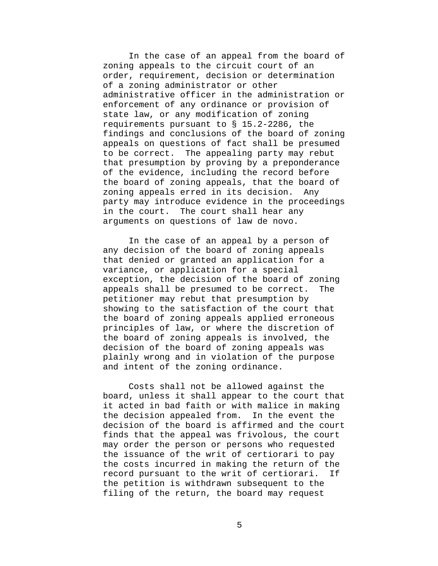In the case of an appeal from the board of zoning appeals to the circuit court of an order, requirement, decision or determination of a zoning administrator or other administrative officer in the administration or enforcement of any ordinance or provision of state law, or any modification of zoning requirements pursuant to § 15.2-2286, the findings and conclusions of the board of zoning appeals on questions of fact shall be presumed to be correct. The appealing party may rebut that presumption by proving by a preponderance of the evidence, including the record before the board of zoning appeals, that the board of zoning appeals erred in its decision. Any party may introduce evidence in the proceedings in the court. The court shall hear any arguments on questions of law de novo.

In the case of an appeal by a person of any decision of the board of zoning appeals that denied or granted an application for a variance, or application for a special exception, the decision of the board of zoning appeals shall be presumed to be correct. The petitioner may rebut that presumption by showing to the satisfaction of the court that the board of zoning appeals applied erroneous principles of law, or where the discretion of the board of zoning appeals is involved, the decision of the board of zoning appeals was plainly wrong and in violation of the purpose and intent of the zoning ordinance.

Costs shall not be allowed against the board, unless it shall appear to the court that it acted in bad faith or with malice in making the decision appealed from. In the event the decision of the board is affirmed and the court finds that the appeal was frivolous, the court may order the person or persons who requested the issuance of the writ of certiorari to pay the costs incurred in making the return of the record pursuant to the writ of certiorari. If the petition is withdrawn subsequent to the filing of the return, the board may request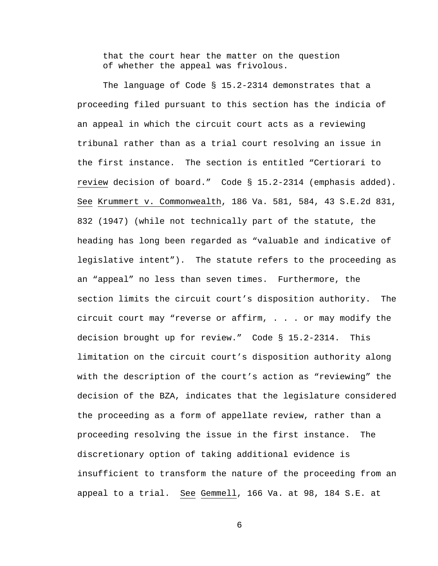that the court hear the matter on the question of whether the appeal was frivolous.

The language of Code  $\S$  15.2-2314 demonstrates that a proceeding filed pursuant to this section has the indicia of an appeal in which the circuit court acts as a reviewing tribunal rather than as a trial court resolving an issue in the first instance. The section is entitled "Certiorari to review decision of board." Code § 15.2-2314 (emphasis added). See Krummert v. Commonwealth, 186 Va. 581, 584, 43 S.E.2d 831, 832 (1947) (while not technically part of the statute, the heading has long been regarded as "valuable and indicative of legislative intent"). The statute refers to the proceeding as an "appeal" no less than seven times. Furthermore, the section limits the circuit court's disposition authority. The circuit court may "reverse or affirm, . . . or may modify the decision brought up for review." Code § 15.2-2314. This limitation on the circuit court's disposition authority along with the description of the court's action as "reviewing" the decision of the BZA, indicates that the legislature considered the proceeding as a form of appellate review, rather than a proceeding resolving the issue in the first instance. The discretionary option of taking additional evidence is insufficient to transform the nature of the proceeding from an appeal to a trial. See Gemmell, 166 Va. at 98, 184 S.E. at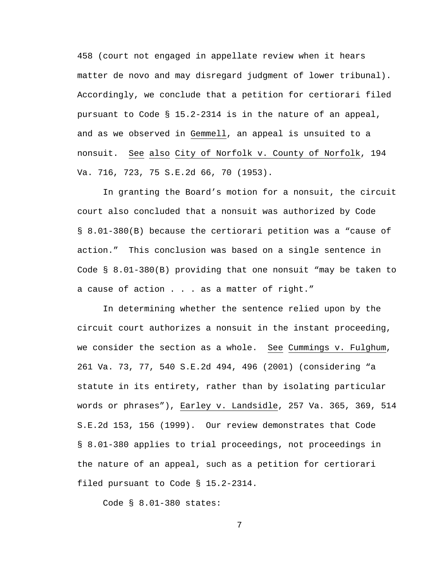458 (court not engaged in appellate review when it hears matter de novo and may disregard judgment of lower tribunal). Accordingly, we conclude that a petition for certiorari filed pursuant to Code § 15.2-2314 is in the nature of an appeal, and as we observed in Gemmell, an appeal is unsuited to a nonsuit. See also City of Norfolk v. County of Norfolk, 194 Va. 716, 723, 75 S.E.2d 66, 70 (1953).

In granting the Board's motion for a nonsuit, the circuit court also concluded that a nonsuit was authorized by Code § 8.01-380(B) because the certiorari petition was a "cause of action." This conclusion was based on a single sentence in Code § 8.01-380(B) providing that one nonsuit "may be taken to a cause of action . . . as a matter of right."

In determining whether the sentence relied upon by the circuit court authorizes a nonsuit in the instant proceeding, we consider the section as a whole. See Cummings v. Fulghum, 261 Va. 73, 77, 540 S.E.2d 494, 496 (2001) (considering "a statute in its entirety, rather than by isolating particular words or phrases"), Earley v. Landsidle, 257 Va. 365, 369, 514 S.E.2d 153, 156 (1999). Our review demonstrates that Code § 8.01-380 applies to trial proceedings, not proceedings in the nature of an appeal, such as a petition for certiorari filed pursuant to Code § 15.2-2314.

Code § 8.01-380 states: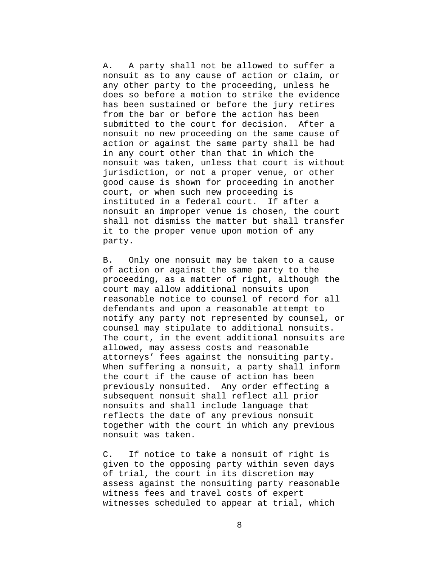A. A party shall not be allowed to suffer a nonsuit as to any cause of action or claim, or any other party to the proceeding, unless he does so before a motion to strike the evidence has been sustained or before the jury retires from the bar or before the action has been submitted to the court for decision. After a nonsuit no new proceeding on the same cause of action or against the same party shall be had in any court other than that in which the nonsuit was taken, unless that court is without jurisdiction, or not a proper venue, or other good cause is shown for proceeding in another court, or when such new proceeding is instituted in a federal court. If after a nonsuit an improper venue is chosen, the court shall not dismiss the matter but shall transfer it to the proper venue upon motion of any party.

B. Only one nonsuit may be taken to a cause of action or against the same party to the proceeding, as a matter of right, although the court may allow additional nonsuits upon reasonable notice to counsel of record for all defendants and upon a reasonable attempt to notify any party not represented by counsel, or counsel may stipulate to additional nonsuits. The court, in the event additional nonsuits are allowed, may assess costs and reasonable attorneys' fees against the nonsuiting party. When suffering a nonsuit, a party shall inform the court if the cause of action has been previously nonsuited. Any order effecting a subsequent nonsuit shall reflect all prior nonsuits and shall include language that reflects the date of any previous nonsuit together with the court in which any previous nonsuit was taken.

C. If notice to take a nonsuit of right is given to the opposing party within seven days of trial, the court in its discretion may assess against the nonsuiting party reasonable witness fees and travel costs of expert witnesses scheduled to appear at trial, which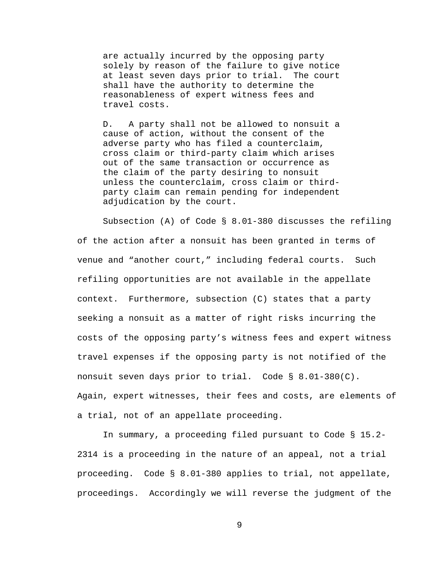are actually incurred by the opposing party solely by reason of the failure to give notice at least seven days prior to trial. The court shall have the authority to determine the reasonableness of expert witness fees and travel costs.

D. A party shall not be allowed to nonsuit a cause of action, without the consent of the adverse party who has filed a counterclaim, cross claim or third-party claim which arises out of the same transaction or occurrence as the claim of the party desiring to nonsuit unless the counterclaim, cross claim or thirdparty claim can remain pending for independent adjudication by the court.

Subsection (A) of Code § 8.01-380 discusses the refiling of the action after a nonsuit has been granted in terms of venue and "another court," including federal courts. Such refiling opportunities are not available in the appellate context. Furthermore, subsection (C) states that a party seeking a nonsuit as a matter of right risks incurring the costs of the opposing party's witness fees and expert witness travel expenses if the opposing party is not notified of the nonsuit seven days prior to trial. Code § 8.01-380(C). Again, expert witnesses, their fees and costs, are elements of a trial, not of an appellate proceeding.

 In summary, a proceeding filed pursuant to Code § 15.2- 2314 is a proceeding in the nature of an appeal, not a trial proceeding. Code § 8.01-380 applies to trial, not appellate, proceedings. Accordingly we will reverse the judgment of the